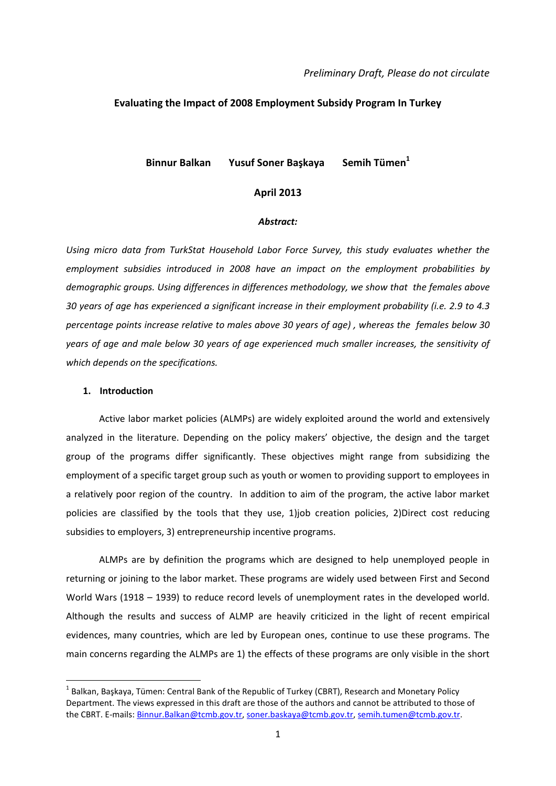#### *Preliminary Draft, Please do not circulate*

## **Evaluating the Impact of 2008 Employment Subsidy Program In Turkey**

# **Binnur Balkan Yusuf Soner Başkaya Semih Tümen<sup>1</sup>**

### **April 2013**

### *Abstract:*

*Using micro data from TurkStat Household Labor Force Survey, this study evaluates whether the employment subsidies introduced in 2008 have an impact on the employment probabilities by demographic groups. Using differences in differences methodology, we show that the females above 30 years of age has experienced a significant increase in their employment probability (i.e. 2.9 to 4.3 percentage points increase relative to males above 30 years of age) , whereas the females below 30 years of age and male below 30 years of age experienced much smaller increases, the sensitivity of which depends on the specifications.* 

### **1. Introduction**

**.** 

Active labor market policies (ALMPs) are widely exploited around the world and extensively analyzed in the literature. Depending on the policy makers' objective, the design and the target group of the programs differ significantly. These objectives might range from subsidizing the employment of a specific target group such as youth or women to providing support to employees in a relatively poor region of the country. In addition to aim of the program, the active labor market policies are classified by the tools that they use, 1)job creation policies, 2)Direct cost reducing subsidies to employers, 3) entrepreneurship incentive programs.

ALMPs are by definition the programs which are designed to help unemployed people in returning or joining to the labor market. These programs are widely used between First and Second World Wars (1918 – 1939) to reduce record levels of unemployment rates in the developed world. Although the results and success of ALMP are heavily criticized in the light of recent empirical evidences, many countries, which are led by European ones, continue to use these programs. The main concerns regarding the ALMPs are 1) the effects of these programs are only visible in the short

 $^{1}$  Balkan, Başkaya, Tümen: Central Bank of the Republic of Turkey (CBRT), Research and Monetary Policy Department. The views expressed in this draft are those of the authors and cannot be attributed to those of the CBRT. E-mails[: Binnur.Balkan@tcmb.gov.tr,](mailto:Binnur.Balkan@tcmb.gov.tr) [soner.baskaya@tcmb.gov.tr,](mailto:soner.baskaya@tcmb.gov.tr) [semih.tumen@tcmb.gov.tr.](mailto:semih.tumen@tcmb.gov.tr)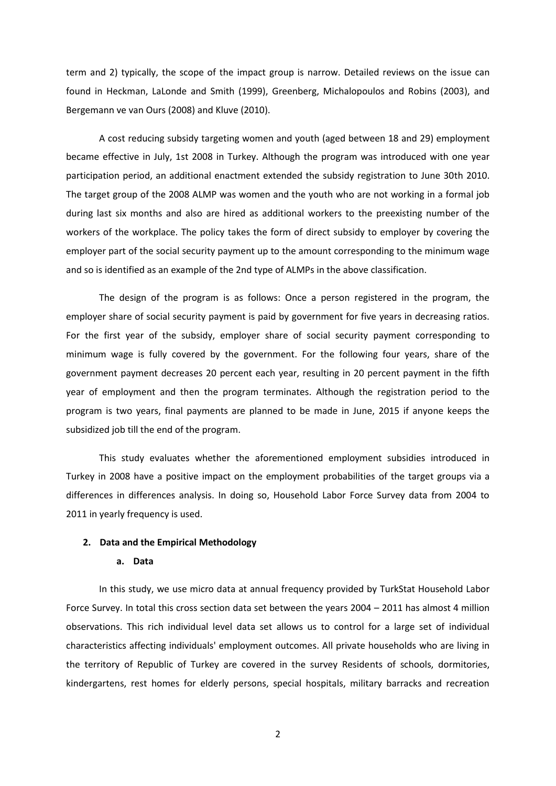term and 2) typically, the scope of the impact group is narrow. Detailed reviews on the issue can found in Heckman, LaLonde and Smith (1999), Greenberg, Michalopoulos and Robins (2003), and Bergemann ve van Ours (2008) and Kluve (2010).

A cost reducing subsidy targeting women and youth (aged between 18 and 29) employment became effective in July, 1st 2008 in Turkey. Although the program was introduced with one year participation period, an additional enactment extended the subsidy registration to June 30th 2010. The target group of the 2008 ALMP was women and the youth who are not working in a formal job during last six months and also are hired as additional workers to the preexisting number of the workers of the workplace. The policy takes the form of direct subsidy to employer by covering the employer part of the social security payment up to the amount corresponding to the minimum wage and so is identified as an example of the 2nd type of ALMPs in the above classification.

The design of the program is as follows: Once a person registered in the program, the employer share of social security payment is paid by government for five years in decreasing ratios. For the first year of the subsidy, employer share of social security payment corresponding to minimum wage is fully covered by the government. For the following four years, share of the government payment decreases 20 percent each year, resulting in 20 percent payment in the fifth year of employment and then the program terminates. Although the registration period to the program is two years, final payments are planned to be made in June, 2015 if anyone keeps the subsidized job till the end of the program.

This study evaluates whether the aforementioned employment subsidies introduced in Turkey in 2008 have a positive impact on the employment probabilities of the target groups via a differences in differences analysis. In doing so, Household Labor Force Survey data from 2004 to 2011 in yearly frequency is used.

# **2. Data and the Empirical Methodology**

# **a. Data**

In this study, we use micro data at annual frequency provided by TurkStat Household Labor Force Survey. In total this cross section data set between the years 2004 – 2011 has almost 4 million observations. This rich individual level data set allows us to control for a large set of individual characteristics affecting individuals' employment outcomes. All private households who are living in the territory of Republic of Turkey are covered in the survey Residents of schools, dormitories, kindergartens, rest homes for elderly persons, special hospitals, military barracks and recreation

2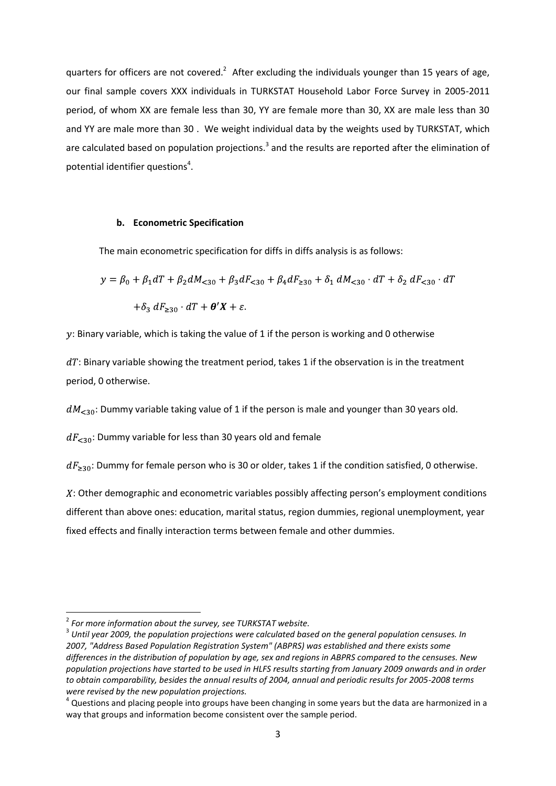quarters for officers are not covered.<sup>2</sup> After excluding the individuals younger than 15 years of age, our final sample covers XXX individuals in TURKSTAT Household Labor Force Survey in 2005-2011 period, of whom XX are female less than 30, YY are female more than 30, XX are male less than 30 and YY are male more than 30 . We weight individual data by the weights used by TURKSTAT, which are calculated based on population projections.<sup>3</sup> and the results are reported after the elimination of potential identifier questions<sup>4</sup>.

### **b. Econometric Specification**

The main econometric specification for diffs in diffs analysis is as follows:

$$
y = \beta_0 + \beta_1 dT + \beta_2 dM_{\leq 30} + \beta_3 dF_{\leq 30} + \beta_4 dF_{\geq 30} + \delta_1 dM_{\leq 30} \cdot dT + \delta_2 dF_{\leq 30} \cdot dT
$$
  
+ 
$$
\delta_3 dF_{\geq 30} \cdot dT + \theta' X + \varepsilon.
$$

 $y$ : Binary variable, which is taking the value of 1 if the person is working and 0 otherwise

 $dT$ : Binary variable showing the treatment period, takes 1 if the observation is in the treatment period, 0 otherwise.

 $dM_{\leq 30}$ : Dummy variable taking value of 1 if the person is male and younger than 30 years old.

 $dF_{< 30}$ : Dummy variable for less than 30 years old and female

 $dF_{\geq 30}$ : Dummy for female person who is 30 or older, takes 1 if the condition satisfied, 0 otherwise.

: Other demographic and econometric variables possibly affecting person's employment conditions different than above ones: education, marital status, region dummies, regional unemployment, year fixed effects and finally interaction terms between female and other dummies.

1

<sup>2</sup> *For more information about the survey, see TURKSTAT website.*

<sup>3</sup> *Until year 2009, the population projections were calculated based on the general population censuses. In 2007, "Address Based Population Registration System" (ABPRS) was established and there exists some differences in the distribution of population by age, sex and regions in ABPRS compared to the censuses. New population projections have started to be used in HLFS results starting from January 2009 onwards and in order to obtain comparability, besides the annual results of 2004, annual and periodic results for 2005-2008 terms were revised by the new population projections.*

 $^4$  Questions and placing people into groups have been changing in some years but the data are harmonized in a way that groups and information become consistent over the sample period.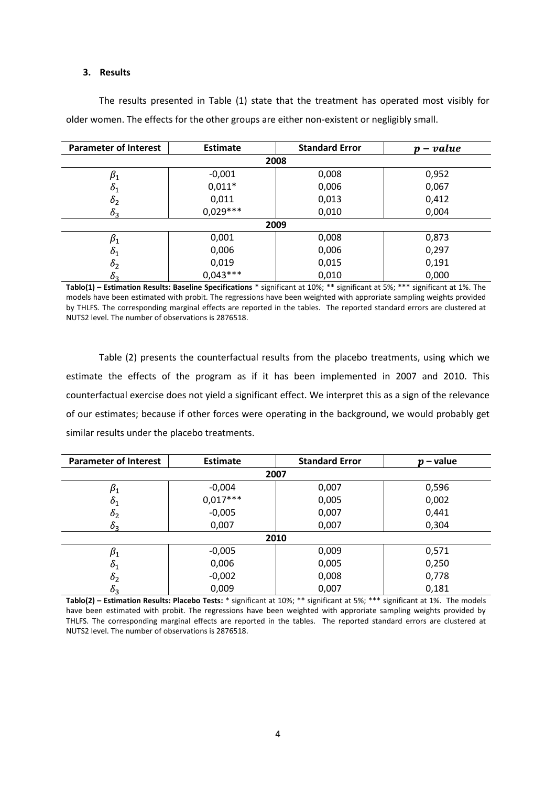# **3. Results**

| <b>Parameter of Interest</b> | <b>Estimate</b> | <b>Standard Error</b> | $p-value$ |  |  |  |
|------------------------------|-----------------|-----------------------|-----------|--|--|--|
| 2008                         |                 |                       |           |  |  |  |
| $\beta_1$                    | $-0,001$        | 0,008                 | 0,952     |  |  |  |
| $\delta_1$                   | $0,011*$        | 0,006                 | 0,067     |  |  |  |
| $\delta_2$                   | 0,011           | 0,013                 | 0,412     |  |  |  |
| $\delta_3$                   | $0.029***$      | 0,010                 | 0,004     |  |  |  |
| 2009                         |                 |                       |           |  |  |  |
| $\beta_1$                    | 0,001           | 0,008                 | 0,873     |  |  |  |
| $\delta_1$                   | 0,006           | 0,006                 | 0,297     |  |  |  |
| $\delta_2$                   | 0,019           | 0,015                 | 0,191     |  |  |  |
| $\delta_3$                   | $0.043***$      | 0,010                 | 0,000     |  |  |  |

The results presented in Table (1) state that the treatment has operated most visibly for older women. The effects for the other groups are either non-existent or negligibly small.

**Tablo(1) – Estimation Results: Baseline Specifications** \* significant at 10%; \*\* significant at 5%; \*\*\* significant at 1%. The models have been estimated with probit. The regressions have been weighted with approriate sampling weights provided by THLFS. The corresponding marginal effects are reported in the tables. The reported standard errors are clustered at NUTS2 level. The number of observations is 2876518.

Table (2) presents the counterfactual results from the placebo treatments, using which we estimate the effects of the program as if it has been implemented in 2007 and 2010. This counterfactual exercise does not yield a significant effect. We interpret this as a sign of the relevance of our estimates; because if other forces were operating in the background, we would probably get similar results under the placebo treatments.

| <b>Parameter of Interest</b> | <b>Estimate</b> | <b>Standard Error</b> | - value<br>Ŋ |  |  |  |
|------------------------------|-----------------|-----------------------|--------------|--|--|--|
| 2007                         |                 |                       |              |  |  |  |
| $\beta_1$                    | $-0,004$        | 0,007                 | 0,596        |  |  |  |
| $\mathfrak{o}_1$             | $0,017***$      | 0,005                 | 0,002        |  |  |  |
| $\delta_2$                   | $-0,005$        | 0,007                 | 0,441        |  |  |  |
| 0 <sub>3</sub>               | 0,007           | 0,007                 | 0,304        |  |  |  |
| 2010                         |                 |                       |              |  |  |  |
| $\beta_1$                    | $-0,005$        | 0,009                 | 0,571        |  |  |  |
| $\mathfrak{o}_1$             | 0,006           | 0,005                 | 0,250        |  |  |  |
| $\delta_2$                   | $-0,002$        | 0,008                 | 0,778        |  |  |  |
| $\delta_3$                   | 0,009           | 0,007                 | 0,181        |  |  |  |

**Tablo(2) – Estimation Results: Placebo Tests:** \* significant at 10%; \*\* significant at 5%; \*\*\* significant at 1%. The models have been estimated with probit. The regressions have been weighted with approriate sampling weights provided by THLFS. The corresponding marginal effects are reported in the tables. The reported standard errors are clustered at NUTS2 level. The number of observations is 2876518.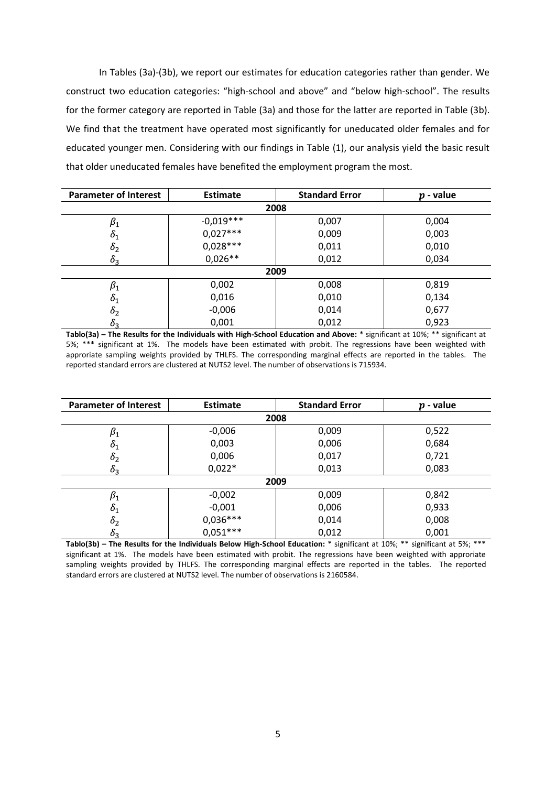In Tables (3a)-(3b), we report our estimates for education categories rather than gender. We construct two education categories: "high-school and above" and "below high-school". The results for the former category are reported in Table (3a) and those for the latter are reported in Table (3b). We find that the treatment have operated most significantly for uneducated older females and for educated younger men. Considering with our findings in Table (1), our analysis yield the basic result that older uneducated females have benefited the employment program the most.

| <b>Parameter of Interest</b> | <b>Estimate</b> | <b>Standard Error</b> | $p$ - value |  |  |  |
|------------------------------|-----------------|-----------------------|-------------|--|--|--|
| 2008                         |                 |                       |             |  |  |  |
| $\beta_1$                    | $-0.019***$     | 0,007                 | 0,004       |  |  |  |
| $\delta_1$                   | $0,027***$      | 0,009                 | 0,003       |  |  |  |
| $\delta_2$                   | $0,028***$      | 0,011                 | 0,010       |  |  |  |
| $\delta_3$                   | $0.026**$       | 0,012                 | 0,034       |  |  |  |
| 2009                         |                 |                       |             |  |  |  |
| $\beta_1$                    | 0,002           | 0,008                 | 0,819       |  |  |  |
| $\delta_1$                   | 0,016           | 0,010                 | 0,134       |  |  |  |
| $\delta_2$                   | $-0,006$        | 0,014                 | 0,677       |  |  |  |
| $\delta_3$                   | 0,001           | 0,012                 | 0,923       |  |  |  |

**Tablo(3a) – The Results for the Individuals with High-School Education and Above:** \* significant at 10%; \*\* significant at 5%; \*\*\* significant at 1%. The models have been estimated with probit. The regressions have been weighted with approriate sampling weights provided by THLFS. The corresponding marginal effects are reported in the tables. The reported standard errors are clustered at NUTS2 level. The number of observations is 715934.

| <b>Parameter of Interest</b> | <b>Estimate</b> | <b>Standard Error</b> | $p$ - value |  |  |  |
|------------------------------|-----------------|-----------------------|-------------|--|--|--|
| 2008                         |                 |                       |             |  |  |  |
| $\beta_1$                    | $-0,006$        | 0,009                 | 0,522       |  |  |  |
| $\delta_1$                   | 0,003           | 0,006                 | 0,684       |  |  |  |
| $\delta_2$                   | 0,006           | 0,017                 | 0,721       |  |  |  |
| $\delta_3$                   | $0,022*$        | 0,013                 | 0,083       |  |  |  |
| 2009                         |                 |                       |             |  |  |  |
| $\beta_1$                    | $-0,002$        | 0,009                 | 0,842       |  |  |  |
| $\delta_1$                   | $-0,001$        | 0,006                 | 0,933       |  |  |  |
| $\delta_2$                   | $0,036***$      | 0,014                 | 0,008       |  |  |  |
| $\delta_3$                   | $0.051***$      | 0,012                 | 0,001       |  |  |  |

**Tablo(3b) – The Results for the Individuals Below High-School Education:** \* significant at 10%; \*\* significant at 5%; \*\*\* significant at 1%. The models have been estimated with probit. The regressions have been weighted with approriate sampling weights provided by THLFS. The corresponding marginal effects are reported in the tables. The reported standard errors are clustered at NUTS2 level. The number of observations is 2160584.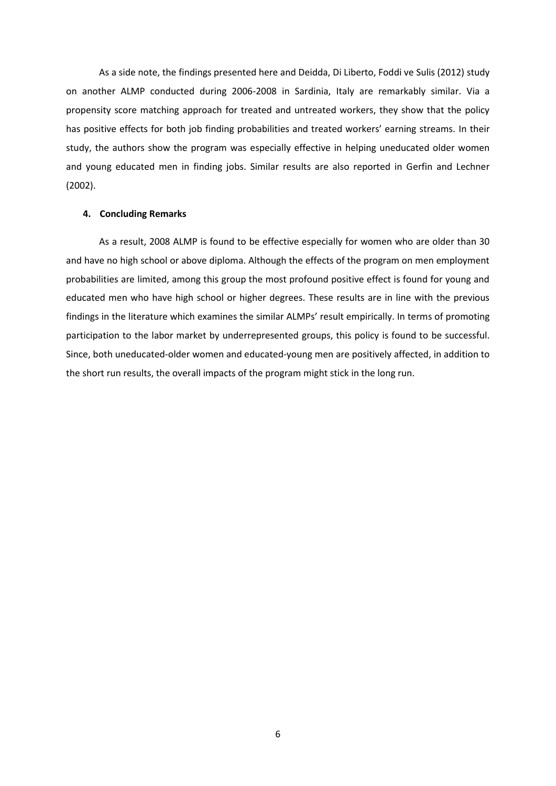As a side note, the findings presented here and Deidda, Di Liberto, Foddi ve Sulis (2012) study on another ALMP conducted during 2006-2008 in Sardinia, Italy are remarkably similar. Via a propensity score matching approach for treated and untreated workers, they show that the policy has positive effects for both job finding probabilities and treated workers' earning streams. In their study, the authors show the program was especially effective in helping uneducated older women and young educated men in finding jobs. Similar results are also reported in Gerfin and Lechner (2002).

#### **4. Concluding Remarks**

As a result, 2008 ALMP is found to be effective especially for women who are older than 30 and have no high school or above diploma. Although the effects of the program on men employment probabilities are limited, among this group the most profound positive effect is found for young and educated men who have high school or higher degrees. These results are in line with the previous findings in the literature which examines the similar ALMPs' result empirically. In terms of promoting participation to the labor market by underrepresented groups, this policy is found to be successful. Since, both uneducated-older women and educated-young men are positively affected, in addition to the short run results, the overall impacts of the program might stick in the long run.